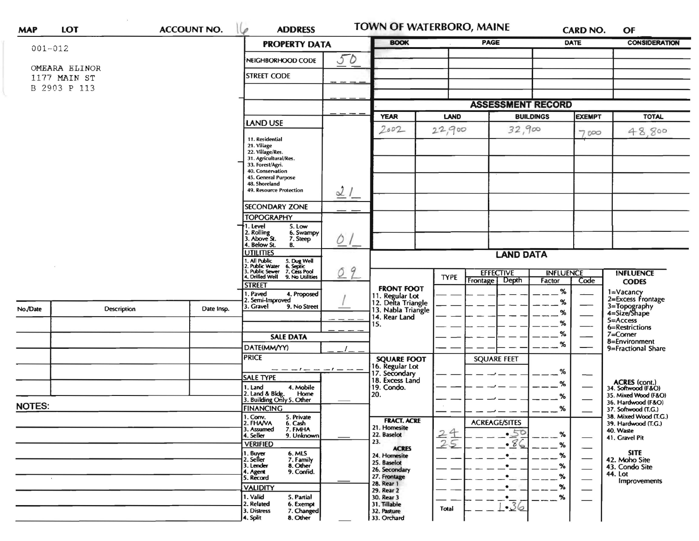| <b>MAP</b>    | LOT                           | <b>ACCOUNT NO.</b> | <b>ADDRESS</b><br>ø                                                                                                                    | TOWN OF WATERBORO, MAINE                                    |                                                          |                              | <b>CARD NO.</b>                       | OF                                           |
|---------------|-------------------------------|--------------------|----------------------------------------------------------------------------------------------------------------------------------------|-------------------------------------------------------------|----------------------------------------------------------|------------------------------|---------------------------------------|----------------------------------------------|
| $001 - 012$   |                               |                    | <b>PROPERTY DATA</b>                                                                                                                   | <b>BOOK</b>                                                 |                                                          |                              | <b>PAGE</b><br><b>DATE</b>            |                                              |
|               |                               |                    | 50<br>NEIGHBORHOOD CODE                                                                                                                |                                                             |                                                          |                              |                                       |                                              |
|               | OMEARA ELINOR<br>1177 MAIN ST |                    | <b>STREET CODE</b>                                                                                                                     |                                                             |                                                          |                              |                                       |                                              |
|               | B 2903 P 113                  |                    |                                                                                                                                        |                                                             |                                                          |                              |                                       |                                              |
|               |                               |                    |                                                                                                                                        | <b>ASSESSMENT RECORD</b>                                    |                                                          |                              |                                       |                                              |
|               |                               |                    | <b>LAND USE</b>                                                                                                                        | <b>YEAR</b>                                                 | LAND                                                     | <b>BUILDINGS</b>             | <b>EXEMPT</b>                         | <b>TOTAL</b>                                 |
|               |                               |                    | 11. Residential                                                                                                                        | 2002                                                        | 22,900                                                   | 32,900                       | 7000                                  | 48.800                                       |
|               |                               |                    | 21. Village<br>22. Village/Res.                                                                                                        |                                                             |                                                          |                              |                                       |                                              |
|               |                               |                    | 31. Agricultural/Res.<br>33. Forest/Agri.                                                                                              |                                                             |                                                          |                              |                                       |                                              |
|               |                               |                    | 40. Conservation<br>45. General Purpose                                                                                                |                                                             |                                                          |                              |                                       |                                              |
|               |                               |                    | 48. Shoreland<br>49. Resource Protection<br>21                                                                                         |                                                             |                                                          |                              |                                       |                                              |
|               |                               |                    | <b>SECONDARY ZONE</b>                                                                                                                  |                                                             |                                                          |                              |                                       |                                              |
|               |                               |                    | <b>TOPOGRAPHY</b><br>1. Level<br>5. Low                                                                                                |                                                             |                                                          |                              |                                       |                                              |
|               |                               |                    | 2. Rolling<br>3. Above St.<br>6. Swampy<br>$Q_{\perp}$<br>7. Steep<br>4. Below St.<br>В.                                               |                                                             |                                                          |                              |                                       |                                              |
|               |                               |                    | <b>UTILITIES</b>                                                                                                                       | <b>LAND DATA</b>                                            |                                                          |                              |                                       |                                              |
|               |                               |                    | 1. All Public 5. Dug Well<br>12. Public Water 6. Septic<br>13. Public Sewer 7. Cess Pool<br>14. Drilled Well 9. No Utilities<br>9<br>Ó |                                                             | <b>EFFECTIVE</b><br><b>INFLUENCE</b><br><b>INFLUENCE</b> |                              |                                       |                                              |
|               |                               |                    | <b>STREET</b>                                                                                                                          |                                                             | <b>TYPE</b>                                              | Depth<br><b>Frontage</b>     | Factor<br>Code                        | <b>CODES</b>                                 |
|               |                               |                    | 1. Paved<br>4. Proposed<br>2. Semi-Improved                                                                                            | <b>FRONT FOOT</b>                                           |                                                          |                              | $\%$<br>%                             | 1=Vacancy<br>2=Excess Frontage               |
| No./Date      | <b>Description</b>            | Date Insp.         | 3. Gravel<br>9. No Street                                                                                                              | 11. Regular Lot<br>12. Delta Triangle<br>13. Nabla Triangle |                                                          |                              | %                                     | 3=Topography<br>4=Size/Shape                 |
|               |                               |                    |                                                                                                                                        | 14. Rear Land<br>15.                                        |                                                          |                              | %                                     | 5=Access<br>6=Restrictions                   |
|               |                               |                    | <b>SALE DATA</b>                                                                                                                       |                                                             |                                                          |                              | %                                     | $7 =$ Corner                                 |
|               |                               |                    | DATE(MM/YY)                                                                                                                            |                                                             |                                                          |                              | %                                     | 8=Environment<br>9=Fractional Share          |
|               |                               |                    | <b>PRICE</b>                                                                                                                           |                                                             |                                                          | <b>SQUARE FEET</b>           |                                       |                                              |
|               |                               |                    | $-t-$<br><b>SALE TYPE</b>                                                                                                              | <b>SQUARE FOOT</b><br>16. Regular Lot<br>17. Secondary      |                                                          |                              | %                                     |                                              |
|               |                               |                    | 4. Mobile<br>1. Land                                                                                                                   | 18. Excess Land<br>19. Condo.                               |                                                          |                              | %                                     | ACRES (cont.)<br>34. Softwood (F&O)          |
|               |                               |                    | 2. Land & Bldg. Home<br>3. Building Only 5. Other<br>Home                                                                              | 20.                                                         |                                                          |                              | ℅                                     | 35. Mixed Wood (F&O)<br>36. Hardwood (F&O)   |
| <b>NOTES:</b> |                               |                    | <b>FINANCING</b><br>1. Conv.<br>5. Private                                                                                             |                                                             |                                                          |                              | %                                     | 37. Softwood (T.G.)<br>38. Mixed Wood (T.G.) |
|               |                               |                    | 2. FHAVA<br>6. Cash                                                                                                                    | <b>FRACT. ACRE</b><br>21. Homesite                          |                                                          | <b>ACREAGE/SITES</b>         |                                       | 39. Hardwood (T.G.)                          |
|               |                               |                    | 3. Assumed<br>7. FMHA<br>4. Seller<br>9. Unknown                                                                                       | 22. Baselot                                                 | $rac{24}{25}$                                            | $-50$                        | %                                     | 40. Waste<br>41. Gravel Pit                  |
|               |                               |                    | <b>VERIFIED</b>                                                                                                                        | 23.<br><b>ACRES</b>                                         |                                                          | $-86$                        | %                                     |                                              |
|               |                               |                    | 1. Buyer<br>2. Seller<br>6. MLS<br>7. Family                                                                                           | 24. Homesite<br>25. Baselot                                 |                                                          | $\bullet$                    | $\%$<br>$\overbrace{\phantom{aaaaa}}$ | <b>SITE</b><br>42. Moho Site                 |
|               |                               |                    | 8. Other<br>3. Lender<br>9. Confid.<br>4. Agent<br>5. Record                                                                           | 26. Secondary                                               |                                                          | $\bullet$                    | %<br>$\overline{\phantom{0}}$         | 43. Condo Site<br>44. Lot                    |
|               |                               |                    |                                                                                                                                        | 27. Frontage<br>28. Rear 1                                  |                                                          | $\bullet$                    | %<br>—<br>%                           | Improvements                                 |
|               |                               |                    | <b>VALIDITY</b><br>1. Valid<br>5. Partial                                                                                              | 29. Rear 2<br>30. Rear 3                                    |                                                          | $\bullet_{\pm}$<br>$\bullet$ | —<br>%                                |                                              |
|               |                               |                    | 2. Related<br>6. Exempt<br>7. Changed<br>3. Distress                                                                                   | 31. Tillable<br>32. Pasture                                 | Total                                                    | $-36$                        |                                       |                                              |
|               |                               |                    | 8. Other<br>4. Split                                                                                                                   | 33. Orchard                                                 |                                                          |                              |                                       |                                              |